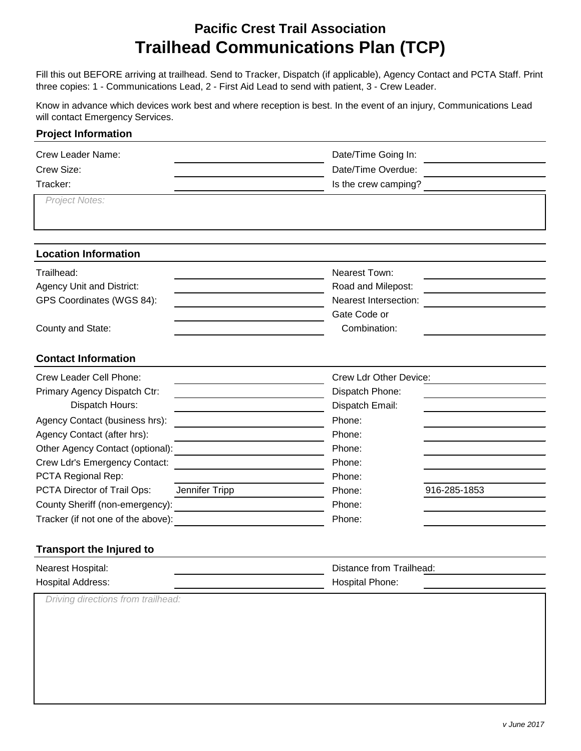## **Pacific Crest Trail Association Trailhead Communications Plan (TCP)**

Fill this out BEFORE arriving at trailhead. Send to Tracker, Dispatch (if applicable), Agency Contact and PCTA Staff. Print three copies: 1 - Communications Lead, 2 - First Aid Lead to send with patient, 3 - Crew Leader.

Know in advance which devices work best and where reception is best. In the event of an injury, Communications Lead will contact Emergency Services.

| Date/Time Going In:                                                    |
|------------------------------------------------------------------------|
| Date/Time Overdue:                                                     |
| Is the crew camping?                                                   |
|                                                                        |
|                                                                        |
|                                                                        |
| Nearest Town:                                                          |
| Road and Milepost:<br>and the control of the control of the control of |
| <b>Nearest Intersection:</b>                                           |
| Gate Code or                                                           |
| Combination:                                                           |
|                                                                        |
| Crew Ldr Other Device:                                                 |
| Dispatch Phone:                                                        |
| Dispatch Email:                                                        |
| Phone:                                                                 |
| Phone:                                                                 |
| Phone:                                                                 |
| Phone:                                                                 |
| Phone:                                                                 |
| 916-285-1853<br>Phone:                                                 |
| Phone:                                                                 |
| Phone:                                                                 |
|                                                                        |
|                                                                        |
|                                                                        |

| Nearest Hospital:        | Distance from Trailhead: |  |
|--------------------------|--------------------------|--|
| <b>Hospital Address:</b> | <b>Hospital Phone:</b>   |  |
|                          |                          |  |

*Driving directions from trailhead:*